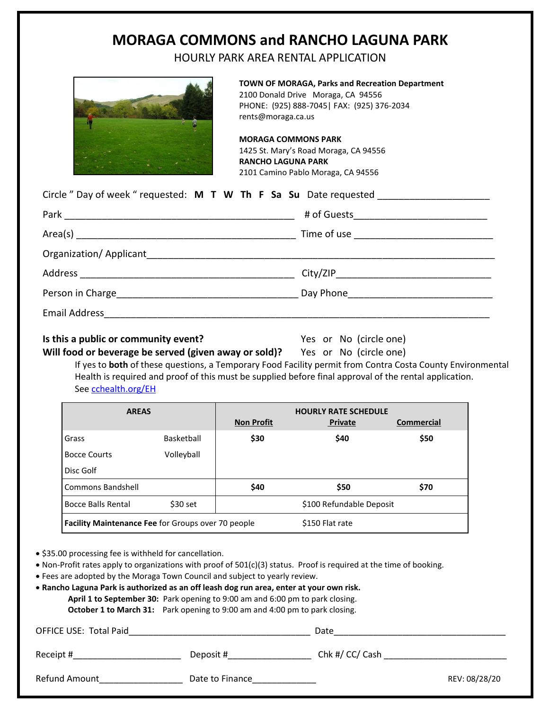# **MORAGA COMMONS and RANCHO LAGUNA PARK**

HOURLY PARK AREA RENTAL APPLICATION



**TOWN OF MORAGA, Parks and Recreation Department** 2100 Donald Drive Moraga, CA 94556 PHONE: (925) 888-7045| FAX: (925) 376-2034 rents@moraga.ca.us

**MORAGA COMMONS PARK** 1425 St. Mary's Road Moraga, CA 94556 **RANCHO LAGUNA PARK** 2101 Camino Pablo Moraga, CA 94556

| Circle " Day of week " requested: M T W Th F Sa Su Date requested _______________ |  |
|-----------------------------------------------------------------------------------|--|
|                                                                                   |  |
|                                                                                   |  |
|                                                                                   |  |
|                                                                                   |  |
|                                                                                   |  |
|                                                                                   |  |

#### **Is this a public or community event?** Yes or No (circle one)

**Will food or beverage be served (given away or sold)?** Yes or No (circle one)

If yes to **both** of these questions, a Temporary Food Facility permit from Contra Costa County Environmental Health is required and proof of this must be supplied before final approval of the rental application. See [cchealth.org/EH](file://///moraga.local/share/Documents/Parks%20and%20Recreation/Rentals/PARK%20RENTAL%20Forms/2018_OCTOBER%20%20Park%20Forms/cchealth.org/EH)

| <b>AREAS</b>                                       |            | <b>Non Profit</b> | <b>HOURLY RATE SCHEDULE</b><br><b>Private</b> | Commercial |
|----------------------------------------------------|------------|-------------------|-----------------------------------------------|------------|
| Grass                                              | Basketball | \$30              | \$40                                          | \$50       |
| <b>Bocce Courts</b>                                | Volleyball |                   |                                               |            |
| Disc Golf                                          |            |                   |                                               |            |
| <b>Commons Bandshell</b>                           |            | \$40              | \$50                                          | \$70       |
| <b>Bocce Balls Rental</b>                          | $$30$ set  |                   | \$100 Refundable Deposit                      |            |
| Facility Maintenance Fee for Groups over 70 people |            |                   | \$150 Flat rate                               |            |

• \$35.00 processing fee is withheld for cancellation.

• Non-Profit rates apply to organizations with proof of 501(c)(3) status. Proof is required at the time of booking.

• Fees are adopted by the Moraga Town Council and subject to yearly review.

• **Rancho Laguna Park is authorized as an off leash dog run area, enter at your own risk. April 1 to September 30:** Park opening to 9:00 am and 6:00 pm to park closing. **October 1 to March 31:** Park opening to 9:00 am and 4:00 pm to park closing.

| <b>OFFICE USE: Total Paid</b> | Date            |                 |               |
|-------------------------------|-----------------|-----------------|---------------|
| Receipt #                     | Deposit #       | Chk #/ CC/ Cash |               |
| Refund Amount                 | Date to Finance |                 | REV: 08/28/20 |